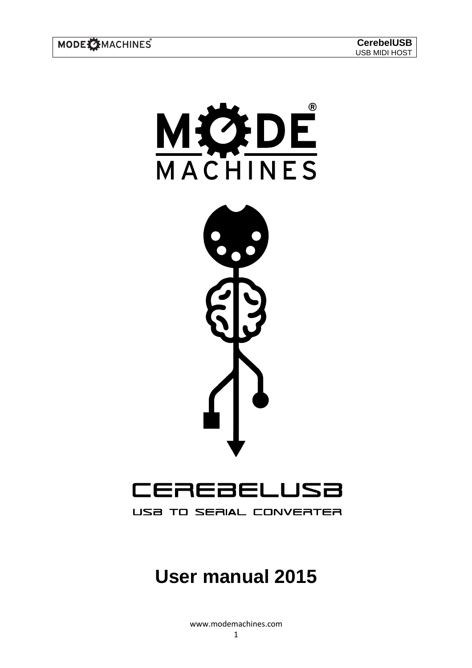

USB TO SERIAL CONVERTER

# **User manual 2015**

www.modemachines.com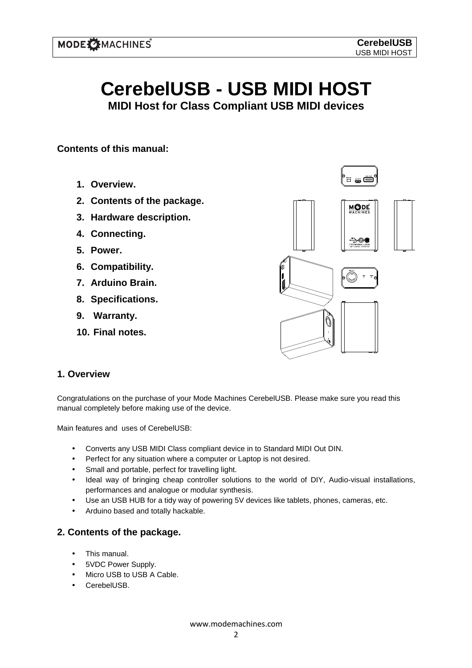# **CerebelUSB - USB MIDI HOST**

**MIDI Host for Class Compliant USB MIDI devices** 

### **Contents of this manual:**

- **1. Overview.**
- **2. Contents of the package.**
- **3. Hardware description.**
- **4. Connecting.**
- **5. Power.**
- **6. Compatibility.**
- **7. Arduino Brain.**
- **8. Specifications.**
- **9. Warranty.**
- **10. Final notes.**



#### **1. Overview**

Congratulations on the purchase of your Mode Machines CerebelUSB. Please make sure you read this manual completely before making use of the device.

Main features and uses of CerebelUSB:

- Converts any USB MIDI Class compliant device in to Standard MIDI Out DIN.
- Perfect for any situation where a computer or Laptop is not desired.
- Small and portable, perfect for travelling light.
- Ideal way of bringing cheap controller solutions to the world of DIY, Audio-visual installations, performances and analogue or modular synthesis.
- Use an USB HUB for a tidy way of powering 5V devices like tablets, phones, cameras, etc.
- Arduino based and totally hackable.

#### **2. Contents of the package.**

- This manual.
- 5VDC Power Supply.
- Micro USB to USB A Cable.
- CerebelUSB.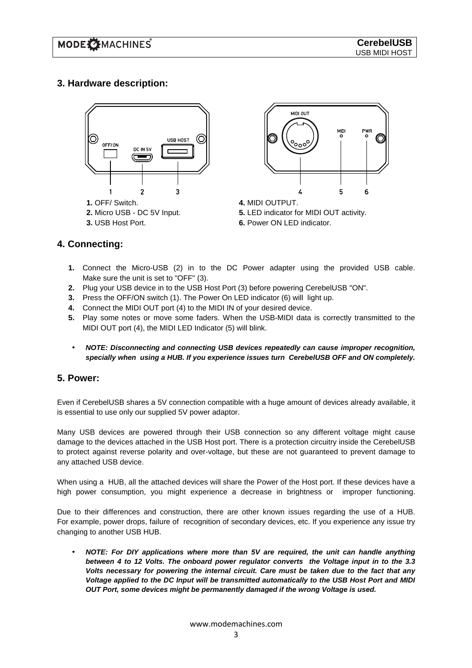# **3. Hardware description:**



**3.** USB Host Port.



**4.** MIDI OUTPUT. **5.** LED indicator for MIDI OUT activity. **6.** Power ON LED indicator.

#### **4. Connecting:**

- **1.** Connect the Micro-USB (2) in to the DC Power adapter using the provided USB cable. Make sure the unit is set to "OFF" (3).
- **2.** Plug your USB device in to the USB Host Port (3) before powering CerebelUSB "ON".
- **3.** Press the OFF/ON switch (1). The Power On LED indicator (6) will light up.
- **4.** Connect the MIDI OUT port (4) to the MIDI IN of your desired device.
- **5.** Play some notes or move some faders. When the USB-MIDI data is correctly transmitted to the MIDI OUT port (4), the MIDI LED Indicator (5) will blink.
- **NOTE: Disconnecting and connecting USB devices repeatedly can cause improper recognition, specially when using a HUB. If you experience issues turn CerebelUSB OFF and ON completely.**

#### **5. Power:**

Even if CerebelUSB shares a 5V connection compatible with a huge amount of devices already available, it is essential to use only our supplied 5V power adaptor.

Many USB devices are powered through their USB connection so any different voltage might cause damage to the devices attached in the USB Host port. There is a protection circuitry inside the CerebelUSB to protect against reverse polarity and over-voltage, but these are not guaranteed to prevent damage to any attached USB device.

When using a HUB, all the attached devices will share the Power of the Host port. If these devices have a high power consumption, you might experience a decrease in brightness or improper functioning.

Due to their differences and construction, there are other known issues regarding the use of a HUB. For example, power drops, failure of recognition of secondary devices, etc. If you experience any issue try changing to another USB HUB.

• **NOTE: For DIY applications where more than 5V are required, the unit can handle anything between 4 to 12 Volts. The onboard power regulator converts the Voltage input in to the 3.3 Volts necessary for powering the internal circuit. Care must be taken due to the fact that any Voltage applied to the DC Input will be transmitted automatically to the USB Host Port and MIDI OUT Port, some devices might be permanently damaged if the wrong Voltage is used.**